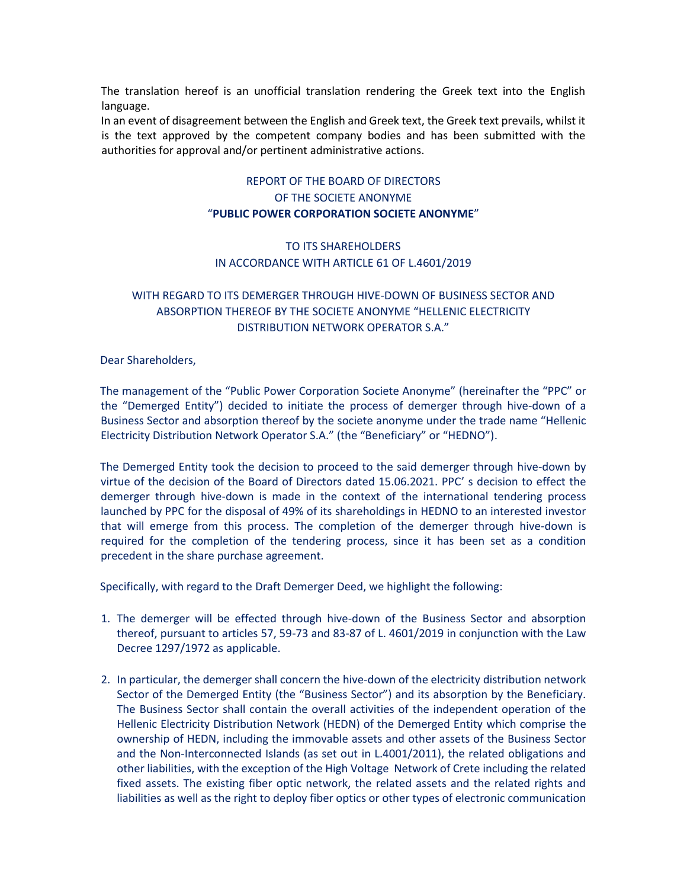The translation hereof is an unofficial translation rendering the Greek text into the English language.

In an event of disagreement between the English and Greek text, the Greek text prevails, whilst it is the text approved by the competent company bodies and has been submitted with the authorities for approval and/or pertinent administrative actions.

## REPORT OF THE BOARD OF DIRECTORS OF THE SOCIETE ANONYME "**PUBLIC POWER CORPORATION SOCIETE ANONYME**"

## TO ITS SHAREHOLDERS IN ACCORDANCE WITH ARTICLE 61 OF L.4601/2019

## WITH REGARD TO ITS DEMERGER THROUGH HIVE-DOWN OF BUSINESS SECTOR AND ABSORPTION THEREOF BY THE SOCIETE ANONYME "HELLENIC ELECTRICITY DISTRIBUTION NETWORK OPERATOR S.A."

Dear Shareholders,

The management of the "Public Power Corporation Societe Anonyme" (hereinafter the "PPC" or the "Demerged Entity") decided to initiate the process of demerger through hive-down of a Business Sector and absorption thereof by the societe anonyme under the trade name "Hellenic Electricity Distribution Network Operator S.A." (the "Beneficiary" or "HEDNO").

The Demerged Entity took the decision to proceed to the said demerger through hive-down by virtue of the decision of the Board of Directors dated 15.06.2021. PPC' s decision to effect the demerger through hive-down is made in the context of the international tendering process launched by PPC for the disposal of 49% of its shareholdings in HEDNO to an interested investor that will emerge from this process. The completion of the demerger through hive-down is required for the completion of the tendering process, since it has been set as a condition precedent in the share purchase agreement.

Specifically, with regard to the Draft Demerger Deed, we highlight the following:

- 1. The demerger will be effected through hive-down of the Business Sector and absorption thereof, pursuant to articles 57, 59-73 and 83-87 of L. 4601/2019 in conjunction with the Law Decree 1297/1972 as applicable.
- 2. In particular, the demerger shall concern the hive-down of the electricity distribution network Sector of the Demerged Entity (the "Business Sector") and its absorption by the Beneficiary. The Business Sector shall contain the overall activities of the independent operation of the Hellenic Electricity Distribution Network (HEDN) of the Demerged Entity which comprise the ownership of HEDN, including the immovable assets and other assets of the Business Sector and the Non-Interconnected Islands (as set out in L.4001/2011), the related obligations and other liabilities, with the exception of the High Voltage Network of Crete including the related fixed assets. The existing fiber optic network, the related assets and the related rights and liabilities as well as the right to deploy fiber optics or other types of electronic communication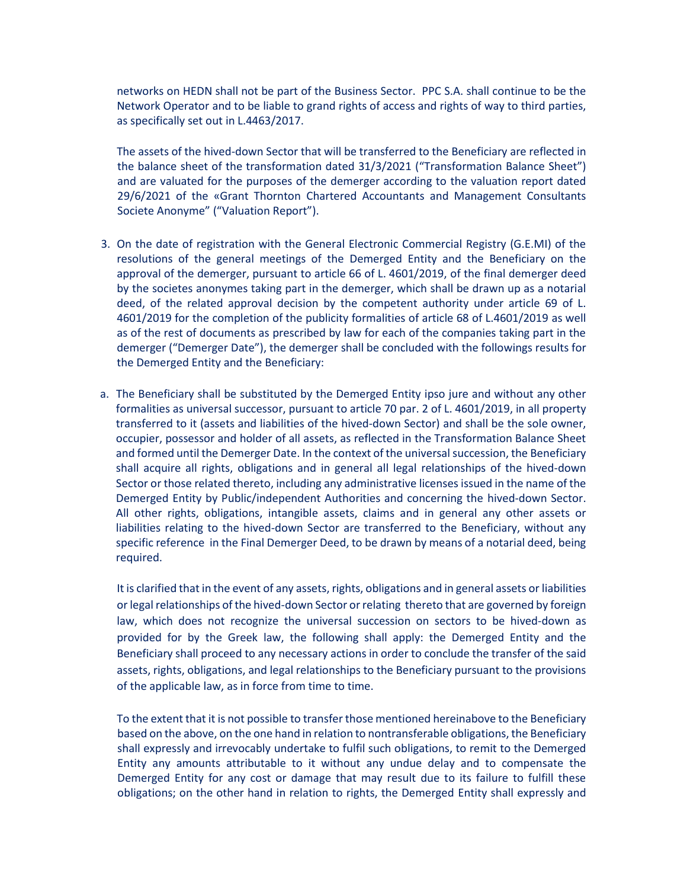networks on HEDN shall not be part of the Business Sector. PPC S.A. shall continue to be the Network Operator and to be liable to grand rights of access and rights of way to third parties, as specifically set out in L.4463/2017.

The assets of the hived-down Sector that will be transferred to the Beneficiary are reflected in the balance sheet of the transformation dated 31/3/2021 ("Transformation Balance Sheet") and are valuated for the purposes of the demerger according to the valuation report dated 29/6/2021 of the «Grant Thornton Chartered Accountants and Management Consultants Societe Anonyme" ("Valuation Report").

- 3. On the date of registration with the General Electronic Commercial Registry (G.E.MI) of the resolutions of the general meetings of the Demerged Entity and the Beneficiary on the approval of the demerger, pursuant to article 66 of L. 4601/2019, of the final demerger deed by the societes anonymes taking part in the demerger, which shall be drawn up as a notarial deed, of the related approval decision by the competent authority under article 69 of L. 4601/2019 for the completion of the publicity formalities of article 68 of L.4601/2019 as well as of the rest of documents as prescribed by law for each of the companies taking part in the demerger ("Demerger Date"), the demerger shall be concluded with the followings results for the Demerged Entity and the Beneficiary:
- a. The Beneficiary shall be substituted by the Demerged Entity ipso jure and without any other formalities as universal successor, pursuant to article 70 par. 2 of L. 4601/2019, in all property transferred to it (assets and liabilities of the hived-down Sector) and shall be the sole owner, occupier, possessor and holder of all assets, as reflected in the Transformation Balance Sheet and formed until the Demerger Date. In the context of the universal succession, the Beneficiary shall acquire all rights, obligations and in general all legal relationships of the hived-down Sector or those related thereto, including any administrative licenses issued in the name of the Demerged Entity by Public/independent Authorities and concerning the hived-down Sector. All other rights, obligations, intangible assets, claims and in general any other assets or liabilities relating to the hived-down Sector are transferred to the Beneficiary, without any specific reference in the Final Demerger Deed, to be drawn by means of a notarial deed, being required.

It is clarified that in the event of any assets, rights, obligations and in general assets or liabilities or legal relationships of the hived-down Sector or relating thereto that are governed by foreign law, which does not recognize the universal succession on sectors to be hived-down as provided for by the Greek law, the following shall apply: the Demerged Entity and the Beneficiary shall proceed to any necessary actions in order to conclude the transfer of the said assets, rights, obligations, and legal relationships to the Beneficiary pursuant to the provisions of the applicable law, as in force from time to time.

To the extent that it is not possible to transfer those mentioned hereinabove to the Beneficiary based on the above, on the one hand in relation to nontransferable obligations, the Beneficiary shall expressly and irrevocably undertake to fulfil such obligations, to remit to the Demerged Entity any amounts attributable to it without any undue delay and to compensate the Demerged Entity for any cost or damage that may result due to its failure to fulfill these obligations; on the other hand in relation to rights, the Demerged Entity shall expressly and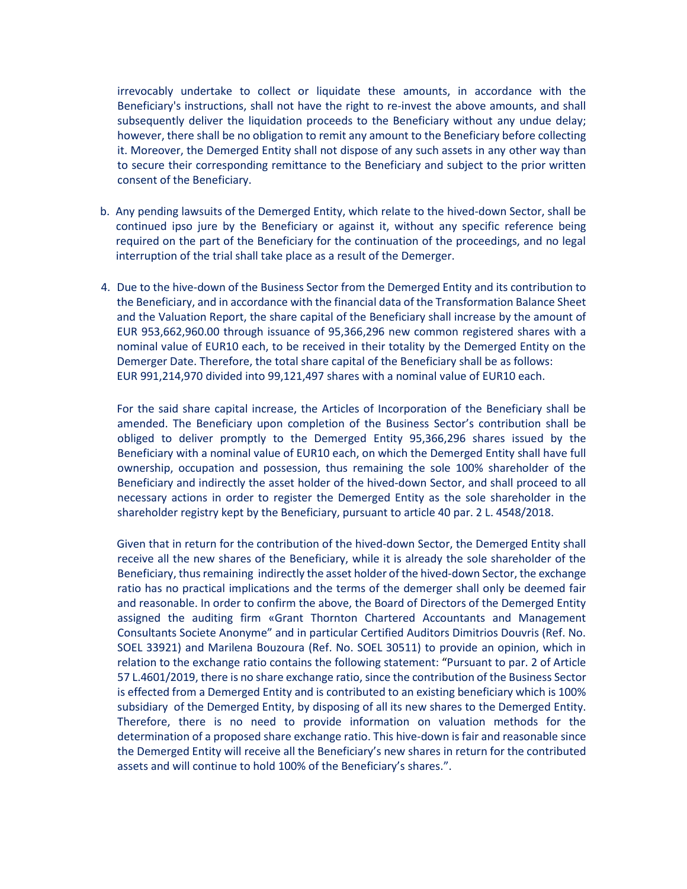irrevocably undertake to collect or liquidate these amounts, in accordance with the Beneficiary's instructions, shall not have the right to re-invest the above amounts, and shall subsequently deliver the liquidation proceeds to the Beneficiary without any undue delay; however, there shall be no obligation to remit any amount to the Beneficiary before collecting it. Moreover, the Demerged Entity shall not dispose of any such assets in any other way than to secure their corresponding remittance to the Beneficiary and subject to the prior written consent of the Beneficiary.

- b. Any pending lawsuits of the Demerged Entity, which relate to the hived-down Sector, shall be continued ipso jure by the Beneficiary or against it, without any specific reference being required on the part of the Beneficiary for the continuation of the proceedings, and no legal interruption of the trial shall take place as a result of the Demerger.
- 4. Due to the hive-down of the Business Sector from the Demerged Entity and its contribution to the Beneficiary, and in accordance with the financial data of the Transformation Balance Sheet and the Valuation Report, the share capital of the Beneficiary shall increase by the amount of EUR 953,662,960.00 through issuance of 95,366,296 new common registered shares with a nominal value of EUR10 each, to be received in their totality by the Demerged Entity on the Demerger Date. Therefore, the total share capital of the Beneficiary shall be as follows: EUR 991,214,970 divided into 99,121,497 shares with a nominal value of EUR10 each.

For the said share capital increase, the Articles of Incorporation of the Beneficiary shall be amended. The Beneficiary upon completion of the Business Sector's contribution shall be obliged to deliver promptly to the Demerged Entity 95,366,296 shares issued by the Beneficiary with a nominal value of EUR10 each, on which the Demerged Entity shall have full ownership, occupation and possession, thus remaining the sole 100% shareholder of the Beneficiary and indirectly the asset holder of the hived-down Sector, and shall proceed to all necessary actions in order to register the Demerged Entity as the sole shareholder in the shareholder registry kept by the Beneficiary, pursuant to article 40 par. 2 L. 4548/2018.

Given that in return for the contribution of the hived-down Sector, the Demerged Entity shall receive all the new shares of the Beneficiary, while it is already the sole shareholder of the Beneficiary, thus remaining indirectly the asset holder of the hived-down Sector, the exchange ratio has no practical implications and the terms of the demerger shall only be deemed fair and reasonable. In order to confirm the above, the Board of Directors of the Demerged Entity assigned the auditing firm «Grant Thornton Chartered Accountants and Management Consultants Societe Anonyme" and in particular Certified Auditors Dimitrios Douvris (Ref. No. SOEL 33921) and Marilena Bouzoura (Ref. No. SOEL 30511) to provide an opinion, which in relation to the exchange ratio contains the following statement: "Pursuant to par. 2 of Article 57 L.4601/2019, there is no share exchange ratio, since the contribution of the Business Sector is effected from a Demerged Entity and is contributed to an existing beneficiary which is 100% subsidiary of the Demerged Entity, by disposing of all its new shares to the Demerged Entity. Therefore, there is no need to provide information on valuation methods for the determination of a proposed share exchange ratio. This hive-down is fair and reasonable since the Demerged Entity will receive all the Beneficiary's new shares in return for the contributed assets and will continue to hold 100% of the Beneficiary's shares.".